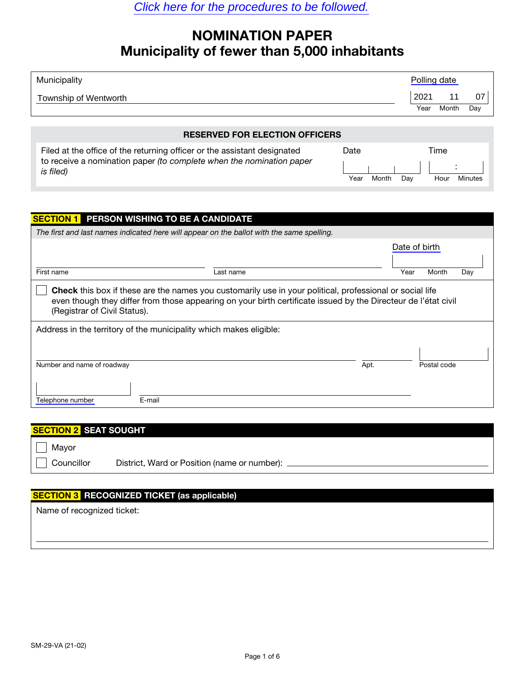## NOMINATION PAPER Municipality of fewer than 5,000 inhabitants

| Municipality          | Polling date |       |     |
|-----------------------|--------------|-------|-----|
| Township of Wentworth | 2021         |       | 07  |
|                       | Year         | Month | Day |

### RESERVED FOR ELECTION OFFICERS

| Filed at the office of the returning officer or the assistant designated          | Date |       |     | Time |         |
|-----------------------------------------------------------------------------------|------|-------|-----|------|---------|
| to receive a nomination paper (to complete when the nomination paper<br>is filed) |      |       |     |      |         |
|                                                                                   | Year | Month | Dav | Hour | Minutes |

| <b>SECTION 1</b>                                                                                                                                                                                                                                                                                                                        | PERSON WISHING TO BE A CANDIDATE                                                          |      |               |             |     |  |  |  |
|-----------------------------------------------------------------------------------------------------------------------------------------------------------------------------------------------------------------------------------------------------------------------------------------------------------------------------------------|-------------------------------------------------------------------------------------------|------|---------------|-------------|-----|--|--|--|
|                                                                                                                                                                                                                                                                                                                                         | The first and last names indicated here will appear on the ballot with the same spelling. |      |               |             |     |  |  |  |
|                                                                                                                                                                                                                                                                                                                                         |                                                                                           |      | Date of birth |             |     |  |  |  |
| First name                                                                                                                                                                                                                                                                                                                              | Last name                                                                                 |      | Year          | Month       | Day |  |  |  |
| <b>Check</b> this box if these are the names you customarily use in your political, professional or social life<br>even though they differ from those appearing on your birth certificate issued by the Directeur de l'état civil<br>(Registrar of Civil Status).<br>Address in the territory of the municipality which makes eligible: |                                                                                           |      |               |             |     |  |  |  |
| Number and name of roadway<br>Telephone number                                                                                                                                                                                                                                                                                          | E-mail                                                                                    | Apt. |               | Postal code |     |  |  |  |
|                                                                                                                                                                                                                                                                                                                                         |                                                                                           |      |               |             |     |  |  |  |

| <b>SECTION 2 SEAT SOUGHT</b> |                                              |  |  |  |
|------------------------------|----------------------------------------------|--|--|--|
| Mayor                        |                                              |  |  |  |
| Councillor                   | District, Ward or Position (name or number): |  |  |  |
|                              |                                              |  |  |  |

### SECTION 3 RECOGNIZED TICKET (as applicable)

Name of recognized ticket: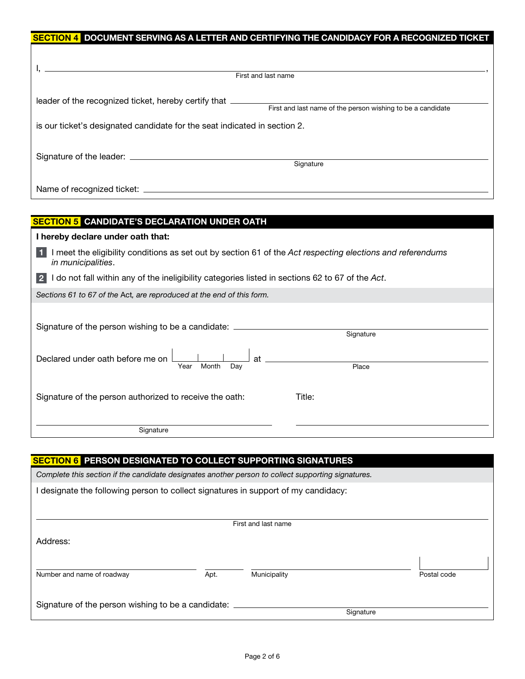| SECTION 4 DOCUMENT SERVING AS A LETTER AND CERTIFYING THE CANDIDACY FOR A RECOGNIZED TICKET                                                     |
|-------------------------------------------------------------------------------------------------------------------------------------------------|
|                                                                                                                                                 |
| First and last name                                                                                                                             |
| leader of the recognized ticket, hereby certify that ___________________________<br>First and last name of the person wishing to be a candidate |
| is our ticket's designated candidate for the seat indicated in section 2.                                                                       |
| Signature                                                                                                                                       |
|                                                                                                                                                 |

| <b>SECTION 5 CANDIDATE'S DECLARATION UNDER OATH</b>                                                                                                                                                                  |  |  |  |  |
|----------------------------------------------------------------------------------------------------------------------------------------------------------------------------------------------------------------------|--|--|--|--|
| I hereby declare under oath that:                                                                                                                                                                                    |  |  |  |  |
| I meet the eligibility conditions as set out by section 61 of the Act respecting elections and referendums<br><i>in municipalities.</i>                                                                              |  |  |  |  |
| I do not fall within any of the ineligibility categories listed in sections 62 to 67 of the Act.                                                                                                                     |  |  |  |  |
| Sections 61 to 67 of the Act, are reproduced at the end of this form.                                                                                                                                                |  |  |  |  |
| Signature of the person wishing to be a candidate: ____<br>Signature<br>at<br>Declared under oath before me on<br>Month<br>Year<br>Dav<br>Place<br>Signature of the person authorized to receive the oath:<br>Title: |  |  |  |  |
| Signature                                                                                                                                                                                                            |  |  |  |  |

# SECTION 6 PERSON DESIGNATED TO COLLECT SUPPORTING SIGNATURES Complete this section if the candidate designates another person to collect supporting signatures. I designate the following person to collect signatures in support of my candidacy: First and last name Address: Number and name of roadway **Apt.** Apt. Municipality **Apt.** Municipality **Postal code** Signature of the person wishing to be a candidate: **Signature**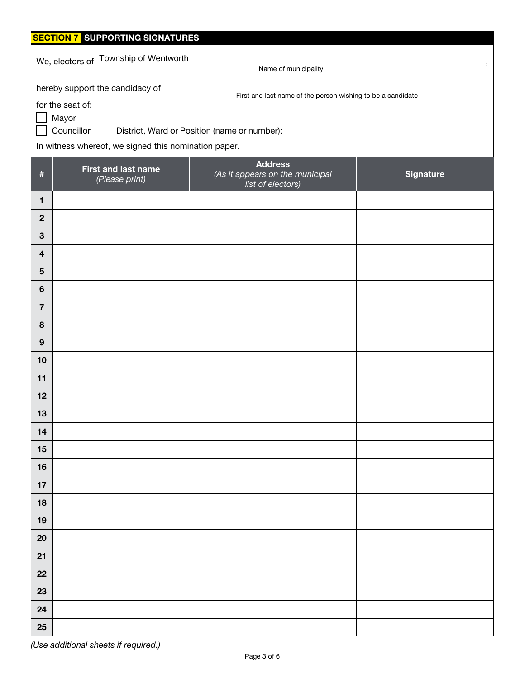| <b>SECTION 7 SUPPORTING SIGNATURES</b> |                                                               |                                                                                  |                  |  |  |  |  |
|----------------------------------------|---------------------------------------------------------------|----------------------------------------------------------------------------------|------------------|--|--|--|--|
|                                        | We, electors of Township of Wentworth<br>Name of municipality |                                                                                  |                  |  |  |  |  |
|                                        |                                                               |                                                                                  |                  |  |  |  |  |
|                                        | hereby support the candidacy of ________                      | First and last name of the person wishing to be a candidate                      |                  |  |  |  |  |
|                                        | for the seat of:<br>Mayor                                     |                                                                                  |                  |  |  |  |  |
|                                        | Councillor                                                    | District, Ward or Position (name or number): ___________________________________ |                  |  |  |  |  |
|                                        | In witness whereof, we signed this nomination paper.          |                                                                                  |                  |  |  |  |  |
|                                        | <b>Address</b>                                                |                                                                                  |                  |  |  |  |  |
| $\#$                                   | <b>First and last name</b><br>(Please print)                  | (As it appears on the municipal<br>.<br>list of electors)                        | <b>Signature</b> |  |  |  |  |
| 1                                      |                                                               |                                                                                  |                  |  |  |  |  |
| $\overline{2}$                         |                                                               |                                                                                  |                  |  |  |  |  |
| $\mathbf{3}$                           |                                                               |                                                                                  |                  |  |  |  |  |
| 4                                      |                                                               |                                                                                  |                  |  |  |  |  |
| $5\phantom{1}$                         |                                                               |                                                                                  |                  |  |  |  |  |
| $6\phantom{1}$                         |                                                               |                                                                                  |                  |  |  |  |  |
| $\overline{7}$                         |                                                               |                                                                                  |                  |  |  |  |  |
| 8                                      |                                                               |                                                                                  |                  |  |  |  |  |
| 9                                      |                                                               |                                                                                  |                  |  |  |  |  |
| 10                                     |                                                               |                                                                                  |                  |  |  |  |  |
| 11                                     |                                                               |                                                                                  |                  |  |  |  |  |
| 12                                     |                                                               |                                                                                  |                  |  |  |  |  |
| 13                                     |                                                               |                                                                                  |                  |  |  |  |  |
| 14                                     |                                                               |                                                                                  |                  |  |  |  |  |
| 15                                     |                                                               |                                                                                  |                  |  |  |  |  |
| 16                                     |                                                               |                                                                                  |                  |  |  |  |  |
| $17$                                   |                                                               |                                                                                  |                  |  |  |  |  |
| 18                                     |                                                               |                                                                                  |                  |  |  |  |  |
| 19                                     |                                                               |                                                                                  |                  |  |  |  |  |
| 20                                     |                                                               |                                                                                  |                  |  |  |  |  |
| 21                                     |                                                               |                                                                                  |                  |  |  |  |  |
| 22                                     |                                                               |                                                                                  |                  |  |  |  |  |
| 23                                     |                                                               |                                                                                  |                  |  |  |  |  |
| 24                                     |                                                               |                                                                                  |                  |  |  |  |  |
| 25                                     |                                                               |                                                                                  |                  |  |  |  |  |

(Use additional sheets if required.)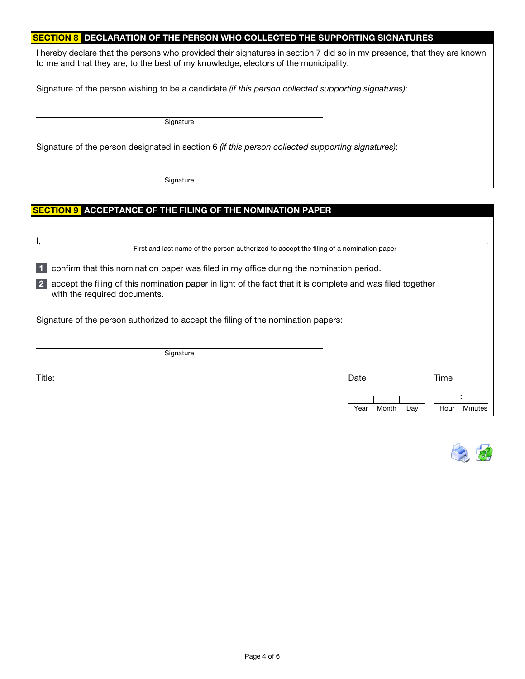### SECTION 8 DECLARATION OF THE PERSON WHO COLLECTED THE SUPPORTING SIGNATURES

I hereby declare that the persons who provided their signatures in section 7 did so in my presence, that they are known to me and that they are, to the best of my knowledge, electors of the municipality.

Signature of the person wishing to be a candidate (if this person collected supporting signatures):

Signature

Signature of the person designated in section 6 (if this person collected supporting signatures):

**Signature** 

### <mark>SECTION 9</mark> ACCEPTANCE OF THE FILING OF THE NOMINATION PAPER

| First and last name of the person authorized to accept the filing of a nomination paper                                                                      |               |             |         |  |  |
|--------------------------------------------------------------------------------------------------------------------------------------------------------------|---------------|-------------|---------|--|--|
| confirm that this nomination paper was filed in my office during the nomination period.                                                                      |               |             |         |  |  |
| 2 <sup>1</sup><br>accept the filing of this nomination paper in light of the fact that it is complete and was filed together<br>with the required documents. |               |             |         |  |  |
| Signature of the person authorized to accept the filing of the nomination papers:                                                                            |               |             |         |  |  |
| Signature                                                                                                                                                    |               |             |         |  |  |
| Title:                                                                                                                                                       | Date          | Time        |         |  |  |
|                                                                                                                                                              | Year<br>Month | Hour<br>Day | Minutes |  |  |

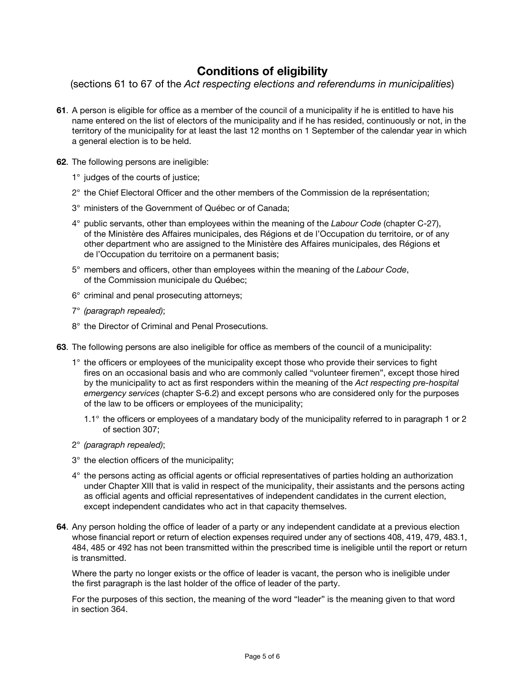### Conditions of eligibility

(sections 61 to 67 of the Act respecting elections and referendums in municipalities)

- 61. A person is eligible for office as a member of the council of a municipality if he is entitled to have his name entered on the list of electors of the municipality and if he has resided, continuously or not, in the territory of the municipality for at least the last 12 months on 1 September of the calendar year in which a general election is to be held.
- 62. The following persons are ineligible:
	- 1° judges of the courts of justice;
	- 2° the Chief Electoral Officer and the other members of the Commission de la représentation;
	- 3° ministers of the Government of Québec or of Canada;
	- 4° public servants, other than employees within the meaning of the Labour Code (chapter C-27), of the Ministère des Affaires municipales, des Régions et de l'Occupa[tion du territoi](http://www.legisquebec.gouv.qc.ca/fr/showDoc/cs/C-27?&digest=)re, or of any other department who are assigned to the Ministère des Affaires municipales, des Régions et de l'Occupation du territoire on a permanent basis;
	- 5° members and officers, other than employees within the meaning of the Labour Code, of the Commission municipale du Québec;
	- 6° criminal and penal prosecuting attorneys;
	- 7° (paragraph repealed);
	- 8° the Director of Criminal and Penal Prosecutions.
- 63. The following persons are also ineligible for office as members of the council of a municipality:
	- 1° the officers or employees of the municipality except those who provide their services to fight fires on an occasional basis and who are commonly called "volunteer firemen", except those hired by the municipality to act as first responders within the meaning of the Act respecting pre-hospital emergency services [\(chapter S-6.2\)](http://www.legisquebec.gouv.qc.ca/fr/showDoc/cs/S-6.2?&digest=) and except persons who are considered only for the purposes of the law to be officers or employees of the municipality;
		- 1.1° the officers or employees of a mandatary body of the municipality referred to in paragraph 1 or 2 of section 307;
	- 2° (paragraph repealed);
	- 3° the election officers of the municipality;
	- 4° the persons acting as official agents or official representatives of parties holding an authorization under Chapter XIII that is valid in respect of the municipality, their assistants and the persons acting as official agents and official representatives of independent candidates in the current election, except independent candidates who act in that capacity themselves.
- 64. Any person holding the office of leader of a party or any independent candidate at a previous election whose financial report or return of election expenses required under any of sections 408, 419, 479, 483.1, 484, 485 or 492 has not been transmitted within the prescribed time is ineligible until the report or return is transmitted.

Where the party no longer exists or the office of leader is vacant, the person who is ineligible under the first paragraph is the last holder of the office of leader of the party.

For the purposes of this section, the meaning of the word "leader" is the meaning given to that word in section 364.